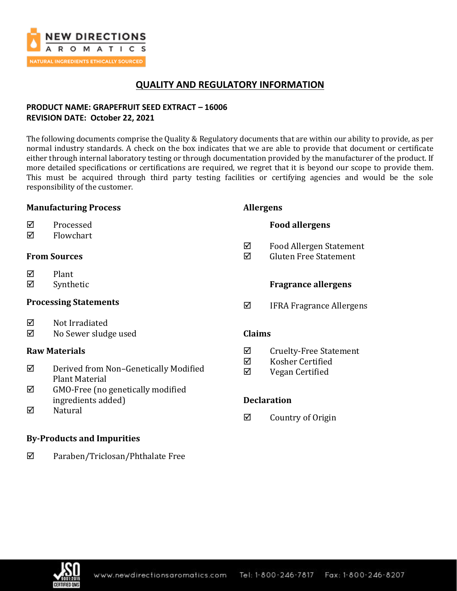

# **QUALITY AND REGULATORY INFORMATION**

## **PRODUCT NAME: GRAPEFRUIT SEED EXTRACT – 16006 REVISION DATE: October 22, 2021**

The following documents comprise the Quality & Regulatory documents that are within our ability to provide, as per normal industry standards. A check on the box indicates that we are able to provide that document or certificate either through internal laboratory testing or through documentation provided by the manufacturer of the product. If more detailed specifications or certifications are required, we regret that it is beyond our scope to provide them. This must be acquired through third party testing facilities or certifying agencies and would be the sole responsibility of the customer.

## **Manufacturing Process**

| ☑ | Processed |
|---|-----------|
|   |           |

 $\nabla$  Flowchart

## **From Sources**

- $\nabla$  Plant
- $\boxtimes$  Synthetic

## **Processing Statements**

- $\boxtimes$  Not Irradiated
- No Sewer sludge used

## **Raw Materials**

- Derived from Non–Genetically Modified Plant Material
- $\boxtimes$  GMO-Free (no genetically modified ingredients added)
- $\nabla$  Natural

## **By-Products and Impurities**

Paraben/Triclosan/Phthalate Free

## **Allergens**

## **Food allergens**

- Food Allergen Statement
- $\boxtimes$  Gluten Free Statement

## **Fragrance allergens**

 $\boxtimes$  IFRA Fragrance Allergens

## **Claims**

- $\boxtimes$  Cruelty-Free Statement
- $\boxtimes$  Kosher Certified
- Vegan Certified

## **Declaration**

 $\boxtimes$  Country of Origin

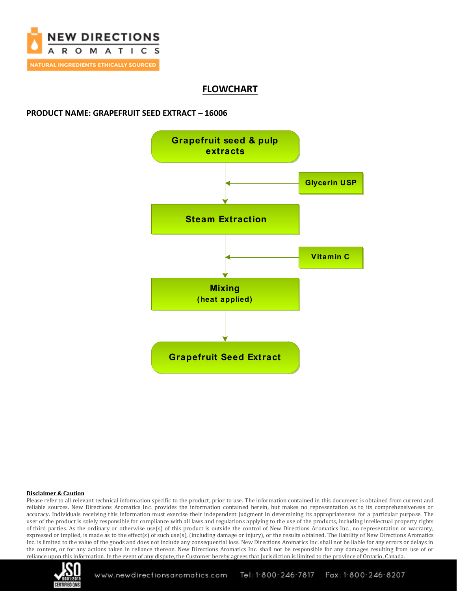

# **FLOWCHART**

## **PRODUCT NAME: GRAPEFRUIT SEED EXTRACT – 16006**



#### **Disclaimer & Caution**

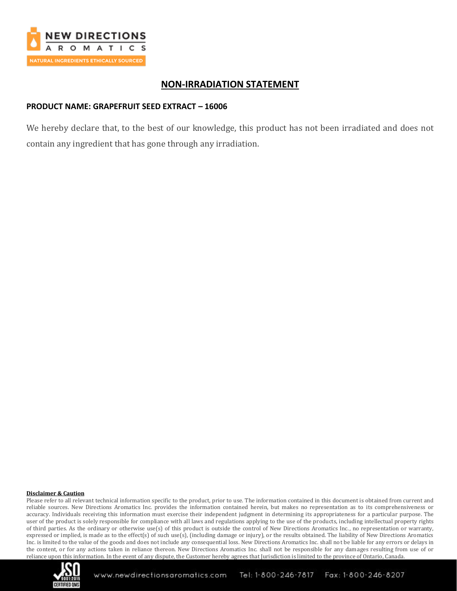

## **NON-IRRADIATION STATEMENT**

## **PRODUCT NAME: GRAPEFRUIT SEED EXTRACT – 16006**

We hereby declare that, to the best of our knowledge, this product has not been irradiated and does not contain any ingredient that has gone through any irradiation.

#### **Disclaimer & Caution**

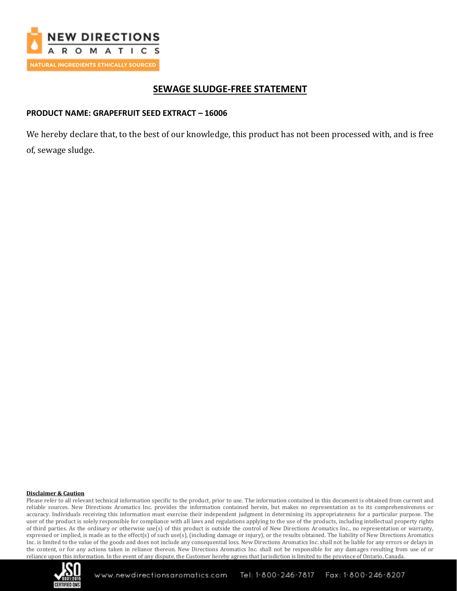

# **SEWAGE SLUDGE-FREE STATEMENT**

## **PRODUCT NAME: GRAPEFRUIT SEED EXTRACT – 16006**

We hereby declare that, to the best of our knowledge, this product has not been processed with, and is free of, sewage sludge.

#### **Disclaimer & Caution**

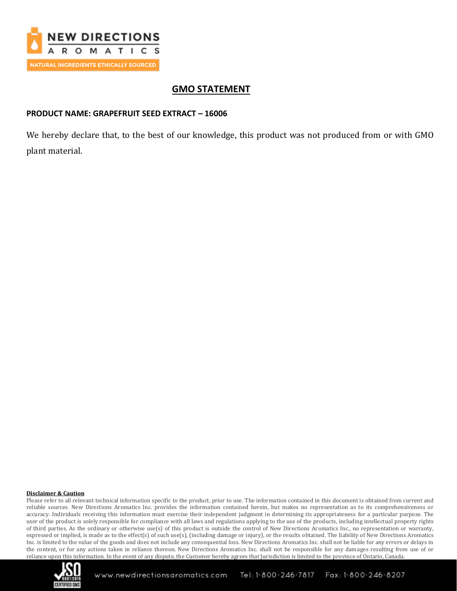

# **GMO STATEMENT**

## **PRODUCT NAME: GRAPEFRUIT SEED EXTRACT – 16006**

We hereby declare that, to the best of our knowledge, this product was not produced from or with GMO plant material.

#### **Disclaimer & Caution**

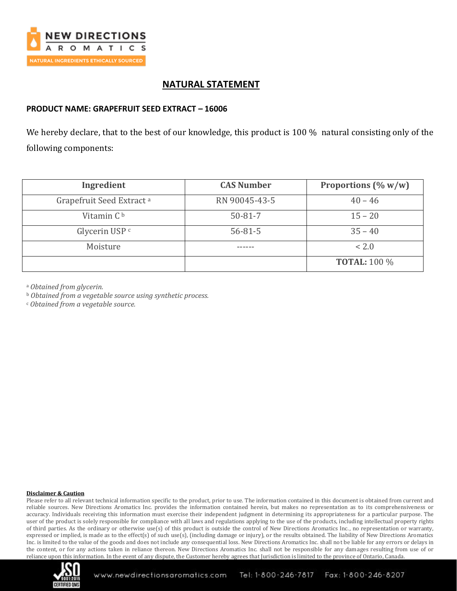

## **NATURAL STATEMENT**

### **PRODUCT NAME: GRAPEFRUIT SEED EXTRACT – 16006**

We hereby declare, that to the best of our knowledge, this product is 100 % natural consisting only of the following components:

| Ingredient                           | <b>CAS Number</b> | Proportions $(\% w/w)$ |
|--------------------------------------|-------------------|------------------------|
| Grapefruit Seed Extract <sup>a</sup> | RN 90045-43-5     | $40 - 46$              |
| Vitamin C <sup>b</sup>               | $50 - 81 - 7$     | $15 - 20$              |
| Glycerin USP <sup>c</sup>            | $56 - 81 - 5$     | $35 - 40$              |
| Moisture                             |                   | < 2.0                  |
|                                      |                   | <b>TOTAL:</b> 100 %    |

<sup>a</sup> *Obtained from glycerin.*

<sup>b</sup> *Obtained from a vegetable source using synthetic process.*

<sup>c</sup> *Obtained from a vegetable source.*

#### **Disclaimer & Caution**

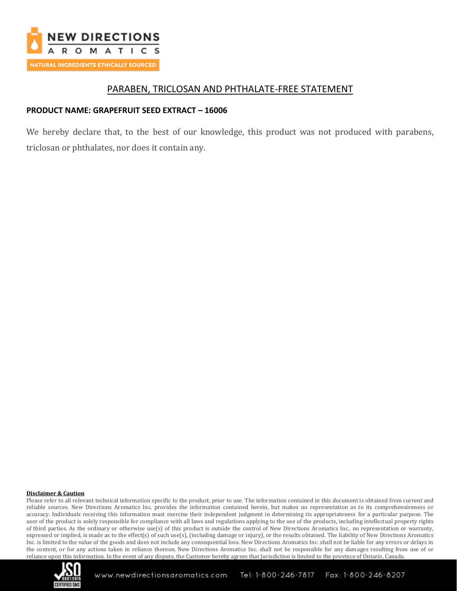

## PARABEN, TRICLOSAN AND PHTHALATE-FREE STATEMENT

## **PRODUCT NAME: GRAPEFRUIT SEED EXTRACT – 16006**

We hereby declare that, to the best of our knowledge, this product was not produced with parabens, triclosan or phthalates, nor does it contain any.

#### **Disclaimer & Caution**

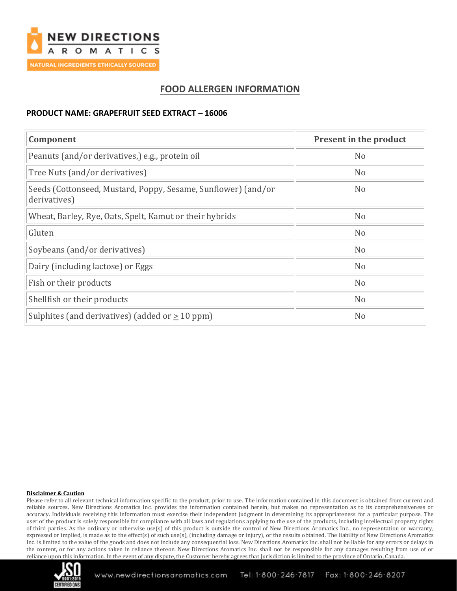

# **FOOD ALLERGEN INFORMATION**

## **PRODUCT NAME: GRAPEFRUIT SEED EXTRACT – 16006**

| Component                                                                     | Present in the product |
|-------------------------------------------------------------------------------|------------------------|
| Peanuts (and/or derivatives,) e.g., protein oil                               | N <sub>o</sub>         |
| Tree Nuts (and/or derivatives)                                                | N <sub>o</sub>         |
| Seeds (Cottonseed, Mustard, Poppy, Sesame, Sunflower) (and/or<br>derivatives) | N <sub>o</sub>         |
| Wheat, Barley, Rye, Oats, Spelt, Kamut or their hybrids                       | N <sub>o</sub>         |
| Gluten                                                                        | N <sub>o</sub>         |
| Soybeans (and/or derivatives)                                                 | N <sub>o</sub>         |
| Dairy (including lactose) or Eggs                                             | N <sub>o</sub>         |
| Fish or their products                                                        | N <sub>o</sub>         |
| Shellfish or their products                                                   | N <sub>o</sub>         |
| Sulphites (and derivatives) (added or $\geq 10$ ppm)                          | N <sub>o</sub>         |

#### **Disclaimer & Caution**

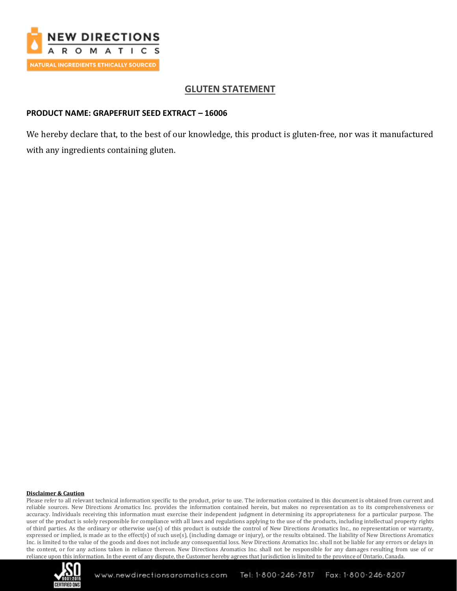

# **GLUTEN STATEMENT**

## **PRODUCT NAME: GRAPEFRUIT SEED EXTRACT – 16006**

We hereby declare that, to the best of our knowledge, this product is gluten-free, nor was it manufactured with any ingredients containing gluten.

#### **Disclaimer & Caution**

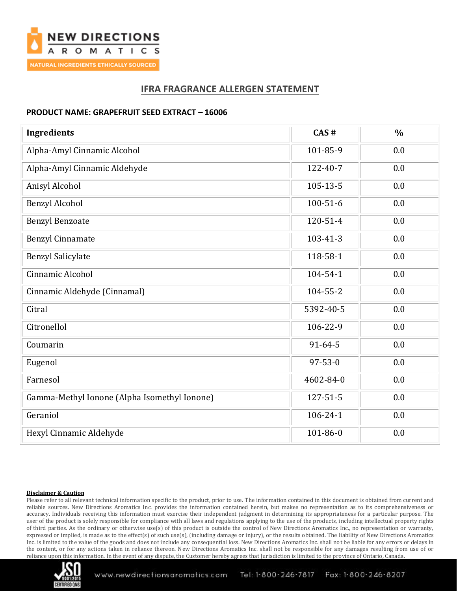

# **IFRA FRAGRANCE ALLERGEN STATEMENT**

## **PRODUCT NAME: GRAPEFRUIT SEED EXTRACT – 16006**

| <b>Ingredients</b>                           | CAS#           | $\frac{0}{0}$ |
|----------------------------------------------|----------------|---------------|
| Alpha-Amyl Cinnamic Alcohol                  | 101-85-9       | 0.0           |
| Alpha-Amyl Cinnamic Aldehyde                 | 122-40-7       | 0.0           |
| Anisyl Alcohol                               | 105-13-5       | 0.0           |
| <b>Benzyl Alcohol</b>                        | $100 - 51 - 6$ | 0.0           |
| <b>Benzyl Benzoate</b>                       | 120-51-4       | 0.0           |
| <b>Benzyl Cinnamate</b>                      | 103-41-3       | 0.0           |
| <b>Benzyl Salicylate</b>                     | 118-58-1       | 0.0           |
| Cinnamic Alcohol                             | 104-54-1       | 0.0           |
| Cinnamic Aldehyde (Cinnamal)                 | 104-55-2       | 0.0           |
| Citral                                       | 5392-40-5      | 0.0           |
| Citronellol                                  | 106-22-9       | 0.0           |
| Coumarin                                     | $91 - 64 - 5$  | 0.0           |
| Eugenol                                      | $97 - 53 - 0$  | 0.0           |
| Farnesol                                     | 4602-84-0      | 0.0           |
| Gamma-Methyl Ionone (Alpha Isomethyl Ionone) | 127-51-5       | 0.0           |
| Geraniol                                     | 106-24-1       | 0.0           |
| Hexyl Cinnamic Aldehyde                      | 101-86-0       | 0.0           |

#### **Disclaimer & Caution**

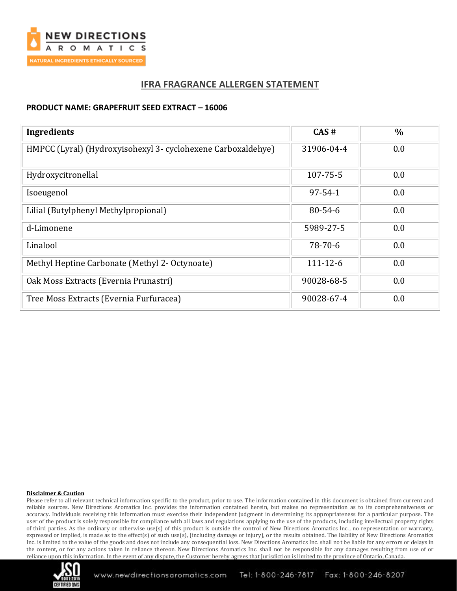

## **IFRA FRAGRANCE ALLERGEN STATEMENT**

### **PRODUCT NAME: GRAPEFRUIT SEED EXTRACT – 16006**

| <b>Ingredients</b>                                           | CAS#           | $\%$ |
|--------------------------------------------------------------|----------------|------|
| HMPCC (Lyral) (Hydroxyisohexyl 3- cyclohexene Carboxaldehye) | 31906-04-4     | 0.0  |
| Hydroxycitronellal                                           | 107-75-5       | 0.0  |
| Isoeugenol                                                   | $97 - 54 - 1$  | 0.0  |
| Lilial (Butylphenyl Methylpropional)                         | $80 - 54 - 6$  | 0.0  |
| d-Limonene                                                   | 5989-27-5      | 0.0  |
| Linalool                                                     | 78-70-6        | 0.0  |
| Methyl Heptine Carbonate (Methyl 2- Octynoate)               | $111 - 12 - 6$ | 0.0  |
| Oak Moss Extracts (Evernia Prunastri)                        | 90028-68-5     | 0.0  |
| Tree Moss Extracts (Evernia Furfuracea)                      | 90028-67-4     | 0.0  |

#### **Disclaimer & Caution**

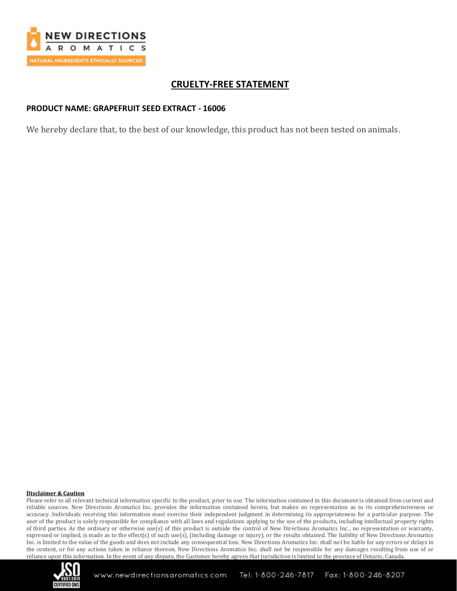

# **CRUELTY-FREE STATEMENT**

## **PRODUCT NAME: GRAPEFRUIT SEED EXTRACT - 16006**

We hereby declare that, to the best of our knowledge, this product has not been tested on animals.

#### **Disclaimer & Caution**

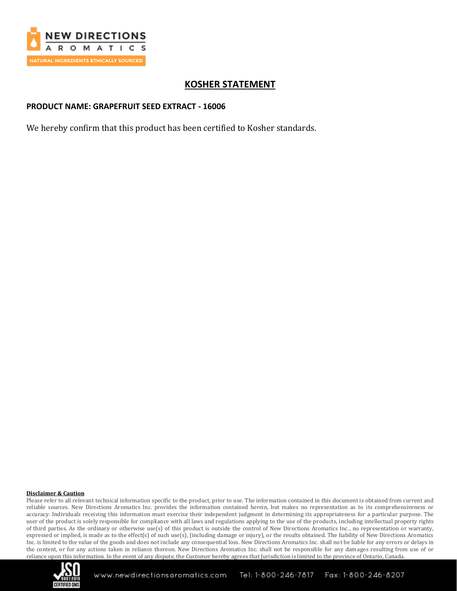

# **KOSHER STATEMENT**

## **PRODUCT NAME: GRAPEFRUIT SEED EXTRACT - 16006**

We hereby confirm that this product has been certified to Kosher standards.

#### **Disclaimer & Caution**

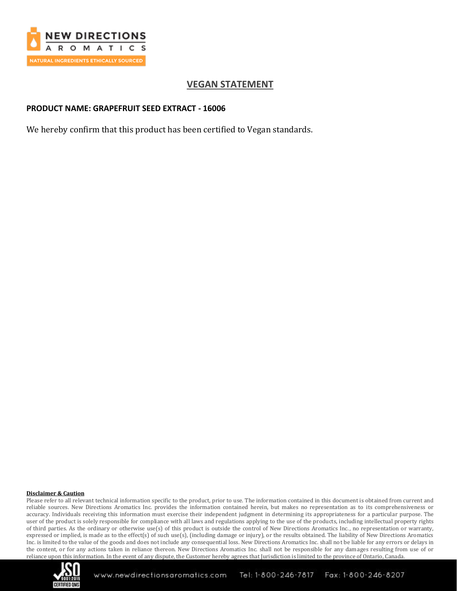

# **VEGAN STATEMENT**

## **PRODUCT NAME: GRAPEFRUIT SEED EXTRACT - 16006**

We hereby confirm that this product has been certified to Vegan standards.

#### **Disclaimer & Caution**